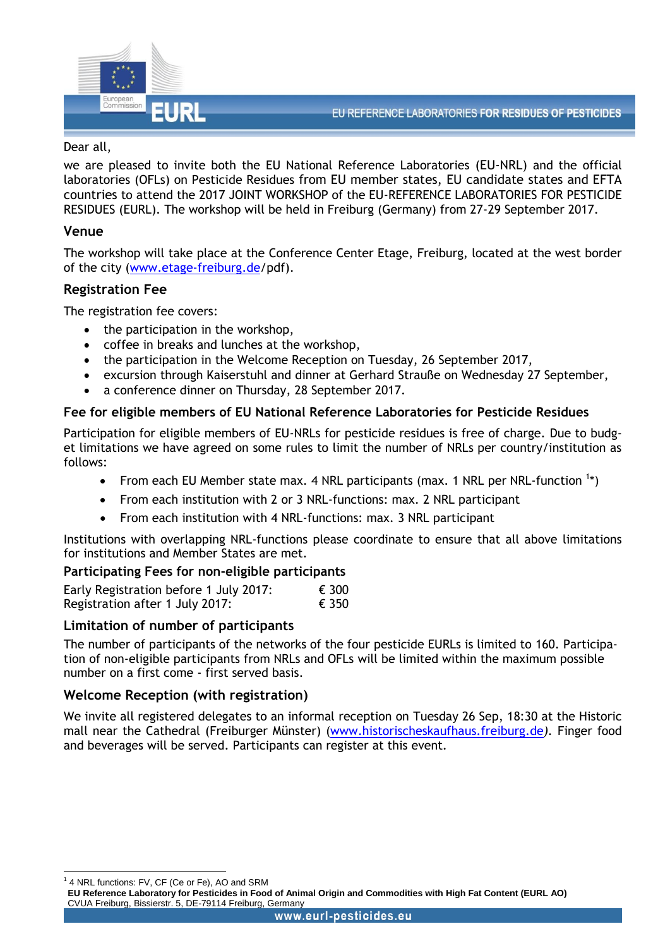

#### Dear all,

we are pleased to invite both the EU National Reference Laboratories (EU-NRL) and the official laboratories (OFLs) on Pesticide Residues from EU member states, EU candidate states and EFTA countries to attend the 2017 JOINT WORKSHOP of the EU-REFERENCE LABORATORIES FOR PESTICIDE RESIDUES (EURL). The workshop will be held in Freiburg (Germany) from 27-29 September 2017.

### **Venue**

The workshop will take place at the Conference Center Etage, Freiburg, located at the west border of the city [\(www.etage-freiburg.de/](http://www.etage-freiburg.de/fileadmin/user_upload/ETAGE/ETAGE_Approach_and_parking_engl.pdf)pdf).

# **Registration Fee**

The registration fee covers:

- the participation in the workshop,
- coffee in breaks and lunches at the workshop,
- the participation in the Welcome Reception on Tuesday, 26 September 2017,
- excursion through Kaiserstuhl and dinner at Gerhard Strauße on Wednesday 27 September,
- a conference dinner on Thursday, 28 September 2017.

### **Fee for eligible members of EU National Reference Laboratories for Pesticide Residues**

Participation for eligible members of EU-NRLs for pesticide residues is free of charge. Due to budget limitations we have agreed on some rules to limit the number of NRLs per country/institution as follows:

- From each EU Member state max. 4 NRL participants (max. 1 NRL per NRL-function  $1*$ )
- From each institution with 2 or 3 NRL-functions: max. 2 NRL participant
- From each institution with 4 NRL-functions: max. 3 NRL participant

Institutions with overlapping NRL-functions please coordinate to ensure that all above limitations for institutions and Member States are met.

#### **Participating Fees for non-eligible participants**

| Early Registration before 1 July 2017: | € 300 |
|----------------------------------------|-------|
| Registration after 1 July 2017:        | € 350 |

# **Limitation of number of participants**

The number of participants of the networks of the four pesticide EURLs is limited to 160. Participation of non-eligible participants from NRLs and OFLs will be limited within the maximum possible number on a first come - first served basis.

# **Welcome Reception (with registration)**

We invite all registered delegates to an informal reception on Tuesday 26 Sep, 18:30 at the Historic mall near the Cathedral (Freiburger Münster) [\(www.historischeskaufhaus.freiburg.de](http://www.historischeskaufhaus.freiburg.de/location/267/de/type,innenhof/innenhof.html)*).* Finger food and beverages will be served. Participants can register at this event.

1 4 NRL functions: FV, CF (Ce or Fe), AO and SRM

1

**EU Reference Laboratory for Pesticides in Food of Animal Origin and Commodities with High Fat Content (EURL AO)** CVUA Freiburg, Bissierstr. 5, DE-79114 Freiburg, Germany